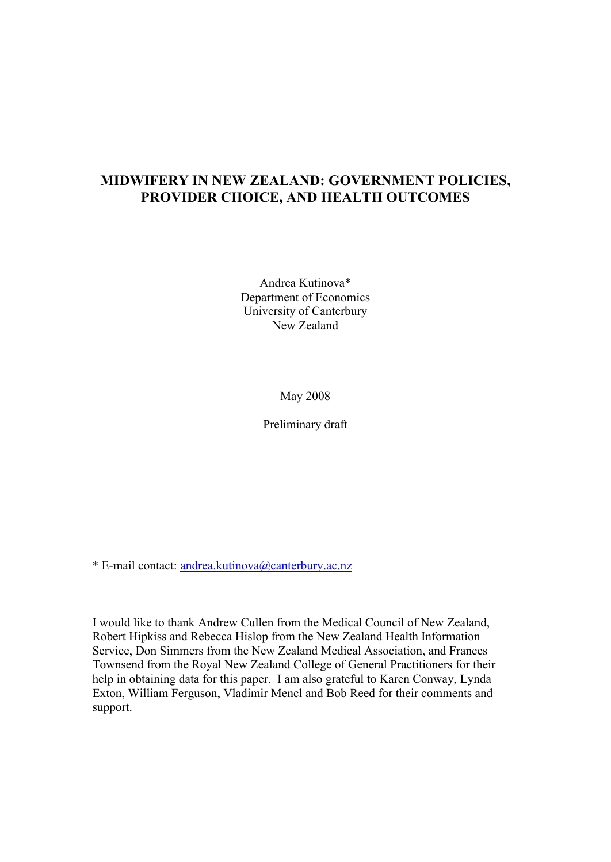# **MIDWIFERY IN NEW ZEALAND: GOVERNMENT POLICIES, PROVIDER CHOICE, AND HEALTH OUTCOMES**

Andrea Kutinova\* Department of Economics University of Canterbury New Zealand

May 2008

Preliminary draft

\* E-mail contact: andrea.kutinova@canterbury.ac.nz

I would like to thank Andrew Cullen from the Medical Council of New Zealand, Robert Hipkiss and Rebecca Hislop from the New Zealand Health Information Service, Don Simmers from the New Zealand Medical Association, and Frances Townsend from the Royal New Zealand College of General Practitioners for their help in obtaining data for this paper. I am also grateful to Karen Conway, Lynda Exton, William Ferguson, Vladimir Mencl and Bob Reed for their comments and support.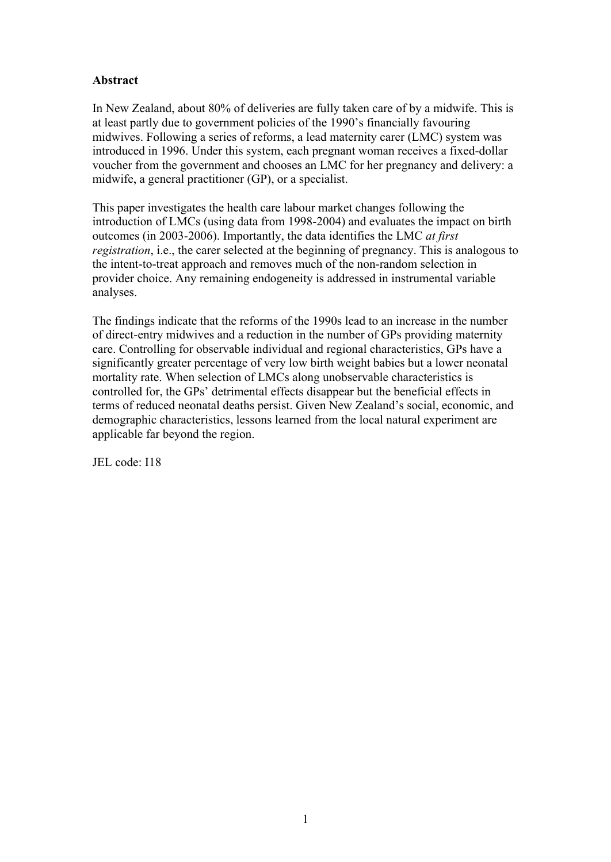## **Abstract**

In New Zealand, about 80% of deliveries are fully taken care of by a midwife. This is at least partly due to government policies of the 1990's financially favouring midwives. Following a series of reforms, a lead maternity carer (LMC) system was introduced in 1996. Under this system, each pregnant woman receives a fixed-dollar voucher from the government and chooses an LMC for her pregnancy and delivery: a midwife, a general practitioner (GP), or a specialist.

This paper investigates the health care labour market changes following the introduction of LMCs (using data from 1998-2004) and evaluates the impact on birth outcomes (in 2003-2006). Importantly, the data identifies the LMC *at first registration*, i.e., the carer selected at the beginning of pregnancy. This is analogous to the intent-to-treat approach and removes much of the non-random selection in provider choice. Any remaining endogeneity is addressed in instrumental variable analyses.

The findings indicate that the reforms of the 1990s lead to an increase in the number of direct-entry midwives and a reduction in the number of GPs providing maternity care. Controlling for observable individual and regional characteristics, GPs have a significantly greater percentage of very low birth weight babies but a lower neonatal mortality rate. When selection of LMCs along unobservable characteristics is controlled for, the GPs' detrimental effects disappear but the beneficial effects in terms of reduced neonatal deaths persist. Given New Zealand's social, economic, and demographic characteristics, lessons learned from the local natural experiment are applicable far beyond the region.

JEL code: I18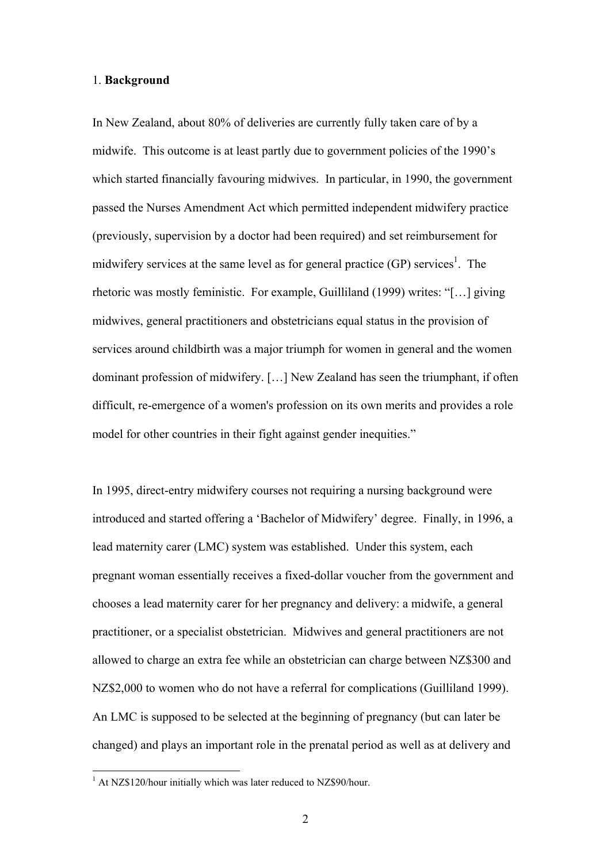#### 1. **Background**

In New Zealand, about 80% of deliveries are currently fully taken care of by a midwife. This outcome is at least partly due to government policies of the 1990's which started financially favouring midwives. In particular, in 1990, the government passed the Nurses Amendment Act which permitted independent midwifery practice (previously, supervision by a doctor had been required) and set reimbursement for midwifery services at the same level as for general practice  $(GP)$  services<sup>1</sup>. The rhetoric was mostly feministic. For example, Guilliland (1999) writes: "[…] giving midwives, general practitioners and obstetricians equal status in the provision of services around childbirth was a major triumph for women in general and the women dominant profession of midwifery. […] New Zealand has seen the triumphant, if often difficult, re-emergence of a women's profession on its own merits and provides a role model for other countries in their fight against gender inequities."

In 1995, direct-entry midwifery courses not requiring a nursing background were introduced and started offering a 'Bachelor of Midwifery' degree. Finally, in 1996, a lead maternity carer (LMC) system was established. Under this system, each pregnant woman essentially receives a fixed-dollar voucher from the government and chooses a lead maternity carer for her pregnancy and delivery: a midwife, a general practitioner, or a specialist obstetrician. Midwives and general practitioners are not allowed to charge an extra fee while an obstetrician can charge between NZ\$300 and NZ\$2,000 to women who do not have a referral for complications (Guilliland 1999). An LMC is supposed to be selected at the beginning of pregnancy (but can later be changed) and plays an important role in the prenatal period as well as at delivery and

 $1$  At NZ\$120/hour initially which was later reduced to NZ\$90/hour.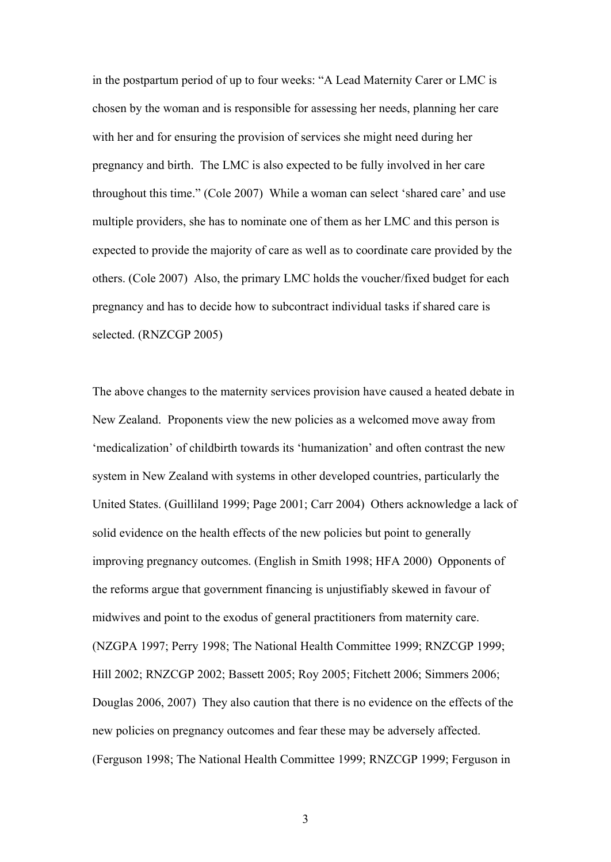in the postpartum period of up to four weeks: "A Lead Maternity Carer or LMC is chosen by the woman and is responsible for assessing her needs, planning her care with her and for ensuring the provision of services she might need during her pregnancy and birth. The LMC is also expected to be fully involved in her care throughout this time." (Cole 2007) While a woman can select 'shared care' and use multiple providers, she has to nominate one of them as her LMC and this person is expected to provide the majority of care as well as to coordinate care provided by the others. (Cole 2007) Also, the primary LMC holds the voucher/fixed budget for each pregnancy and has to decide how to subcontract individual tasks if shared care is selected. (RNZCGP 2005)

The above changes to the maternity services provision have caused a heated debate in New Zealand. Proponents view the new policies as a welcomed move away from 'medicalization' of childbirth towards its 'humanization' and often contrast the new system in New Zealand with systems in other developed countries, particularly the United States. (Guilliland 1999; Page 2001; Carr 2004) Others acknowledge a lack of solid evidence on the health effects of the new policies but point to generally improving pregnancy outcomes. (English in Smith 1998; HFA 2000) Opponents of the reforms argue that government financing is unjustifiably skewed in favour of midwives and point to the exodus of general practitioners from maternity care. (NZGPA 1997; Perry 1998; The National Health Committee 1999; RNZCGP 1999; Hill 2002; RNZCGP 2002; Bassett 2005; Roy 2005; Fitchett 2006; Simmers 2006; Douglas 2006, 2007) They also caution that there is no evidence on the effects of the new policies on pregnancy outcomes and fear these may be adversely affected. (Ferguson 1998; The National Health Committee 1999; RNZCGP 1999; Ferguson in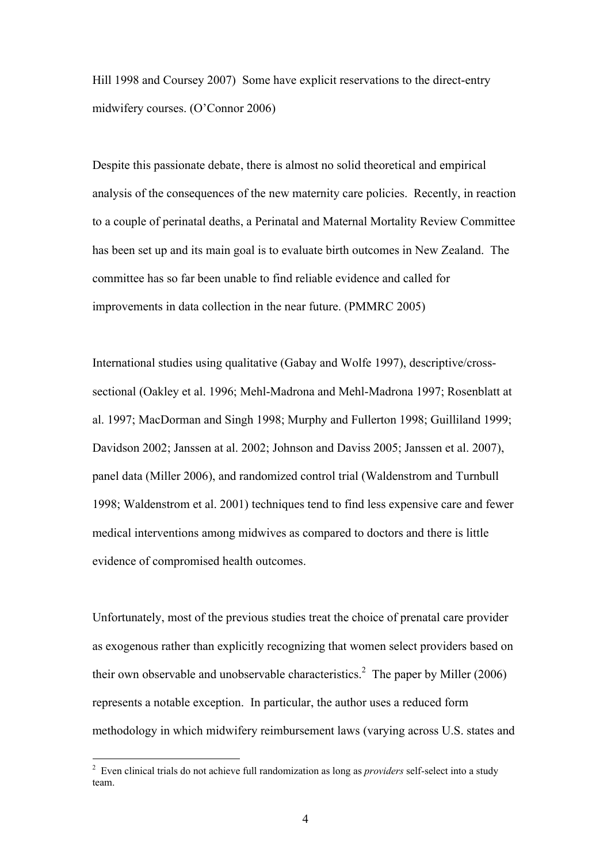Hill 1998 and Coursey 2007) Some have explicit reservations to the direct-entry midwifery courses. (O'Connor 2006)

Despite this passionate debate, there is almost no solid theoretical and empirical analysis of the consequences of the new maternity care policies. Recently, in reaction to a couple of perinatal deaths, a Perinatal and Maternal Mortality Review Committee has been set up and its main goal is to evaluate birth outcomes in New Zealand. The committee has so far been unable to find reliable evidence and called for improvements in data collection in the near future. (PMMRC 2005)

International studies using qualitative (Gabay and Wolfe 1997), descriptive/crosssectional (Oakley et al. 1996; Mehl-Madrona and Mehl-Madrona 1997; Rosenblatt at al. 1997; MacDorman and Singh 1998; Murphy and Fullerton 1998; Guilliland 1999; Davidson 2002; Janssen at al. 2002; Johnson and Daviss 2005; Janssen et al. 2007), panel data (Miller 2006), and randomized control trial (Waldenstrom and Turnbull 1998; Waldenstrom et al. 2001) techniques tend to find less expensive care and fewer medical interventions among midwives as compared to doctors and there is little evidence of compromised health outcomes.

Unfortunately, most of the previous studies treat the choice of prenatal care provider as exogenous rather than explicitly recognizing that women select providers based on their own observable and unobservable characteristics.<sup>2</sup> The paper by Miller (2006) represents a notable exception. In particular, the author uses a reduced form methodology in which midwifery reimbursement laws (varying across U.S. states and

<sup>2</sup> Even clinical trials do not achieve full randomization as long as *providers* self-select into a study team.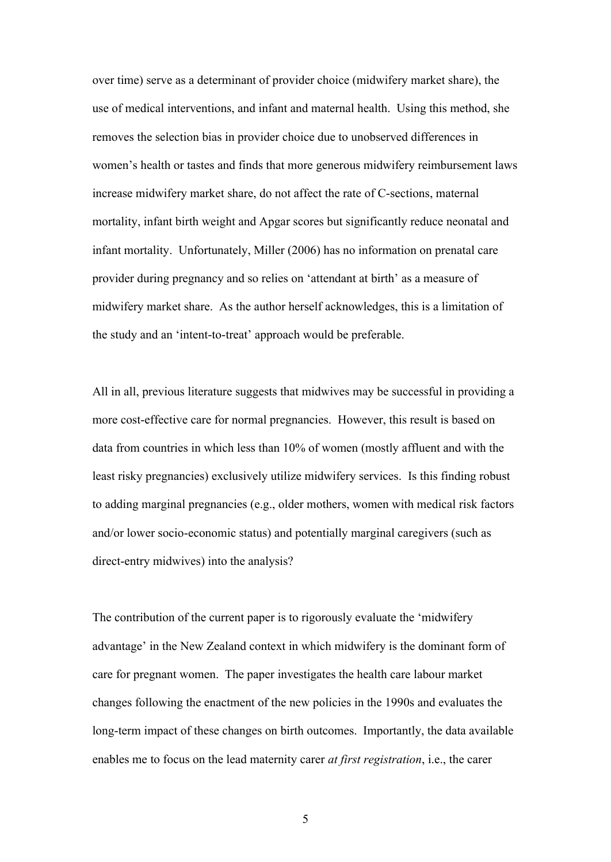over time) serve as a determinant of provider choice (midwifery market share), the use of medical interventions, and infant and maternal health. Using this method, she removes the selection bias in provider choice due to unobserved differences in women's health or tastes and finds that more generous midwifery reimbursement laws increase midwifery market share, do not affect the rate of C-sections, maternal mortality, infant birth weight and Apgar scores but significantly reduce neonatal and infant mortality. Unfortunately, Miller (2006) has no information on prenatal care provider during pregnancy and so relies on 'attendant at birth' as a measure of midwifery market share. As the author herself acknowledges, this is a limitation of the study and an 'intent-to-treat' approach would be preferable.

All in all, previous literature suggests that midwives may be successful in providing a more cost-effective care for normal pregnancies. However, this result is based on data from countries in which less than 10% of women (mostly affluent and with the least risky pregnancies) exclusively utilize midwifery services. Is this finding robust to adding marginal pregnancies (e.g., older mothers, women with medical risk factors and/or lower socio-economic status) and potentially marginal caregivers (such as direct-entry midwives) into the analysis?

The contribution of the current paper is to rigorously evaluate the 'midwifery advantage' in the New Zealand context in which midwifery is the dominant form of care for pregnant women. The paper investigates the health care labour market changes following the enactment of the new policies in the 1990s and evaluates the long-term impact of these changes on birth outcomes. Importantly, the data available enables me to focus on the lead maternity carer *at first registration*, i.e., the carer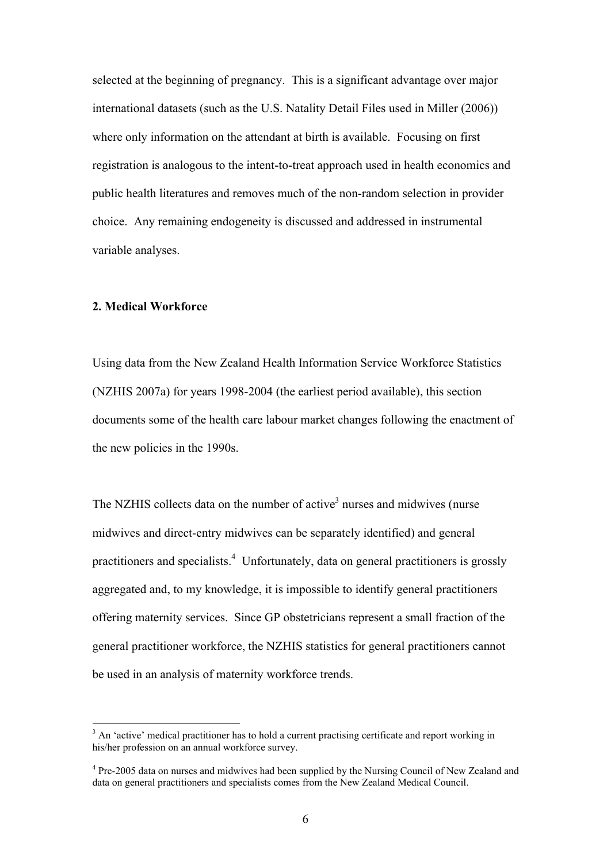selected at the beginning of pregnancy. This is a significant advantage over major international datasets (such as the U.S. Natality Detail Files used in Miller (2006)) where only information on the attendant at birth is available. Focusing on first registration is analogous to the intent-to-treat approach used in health economics and public health literatures and removes much of the non-random selection in provider choice. Any remaining endogeneity is discussed and addressed in instrumental variable analyses.

### **2. Medical Workforce**

 $\overline{a}$ 

Using data from the New Zealand Health Information Service Workforce Statistics (NZHIS 2007a) for years 1998-2004 (the earliest period available), this section documents some of the health care labour market changes following the enactment of the new policies in the 1990s.

The NZHIS collects data on the number of active<sup>3</sup> nurses and midwives (nurse midwives and direct-entry midwives can be separately identified) and general practitioners and specialists. <sup>4</sup> Unfortunately, data on general practitioners is grossly aggregated and, to my knowledge, it is impossible to identify general practitioners offering maternity services. Since GP obstetricians represent a small fraction of the general practitioner workforce, the NZHIS statistics for general practitioners cannot be used in an analysis of maternity workforce trends.

<sup>&</sup>lt;sup>3</sup> An 'active' medical practitioner has to hold a current practising certificate and report working in his/her profession on an annual workforce survey.

<sup>&</sup>lt;sup>4</sup> Pre-2005 data on nurses and midwives had been supplied by the Nursing Council of New Zealand and data on general practitioners and specialists comes from the New Zealand Medical Council.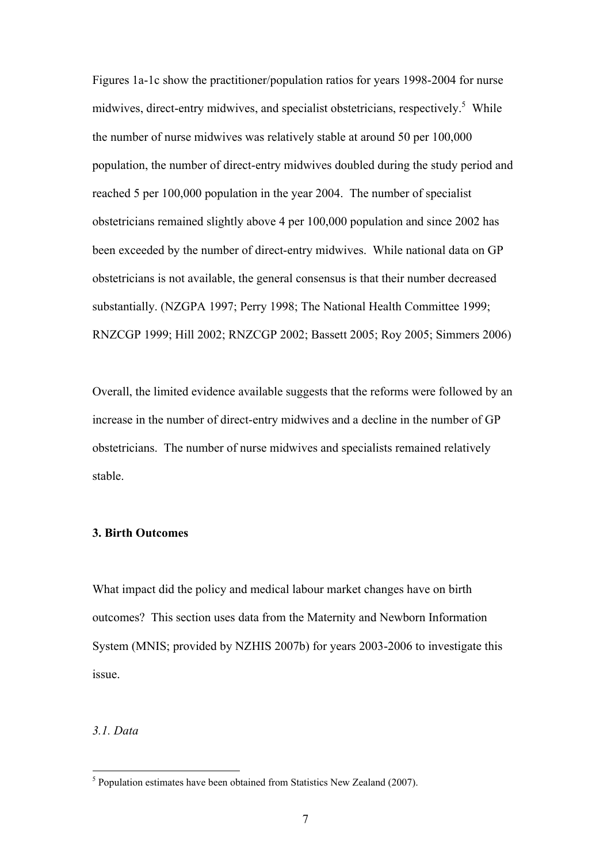Figures 1a-1c show the practitioner/population ratios for years 1998-2004 for nurse midwives, direct-entry midwives, and specialist obstetricians, respectively. 5 While the number of nurse midwives was relatively stable at around 50 per 100,000 population, the number of direct-entry midwives doubled during the study period and reached 5 per 100,000 population in the year 2004. The number of specialist obstetricians remained slightly above 4 per 100,000 population and since 2002 has been exceeded by the number of direct-entry midwives. While national data on GP obstetricians is not available, the general consensus is that their number decreased substantially. (NZGPA 1997; Perry 1998; The National Health Committee 1999; RNZCGP 1999; Hill 2002; RNZCGP 2002; Bassett 2005; Roy 2005; Simmers 2006)

Overall, the limited evidence available suggests that the reforms were followed by an increase in the number of direct-entry midwives and a decline in the number of GP obstetricians. The number of nurse midwives and specialists remained relatively stable.

#### **3. Birth Outcomes**

What impact did the policy and medical labour market changes have on birth outcomes? This section uses data from the Maternity and Newborn Information System (MNIS; provided by NZHIS 2007b) for years 2003-2006 to investigate this issue.

#### *3.1. Data*

 $<sup>5</sup>$  Population estimates have been obtained from Statistics New Zealand (2007).</sup>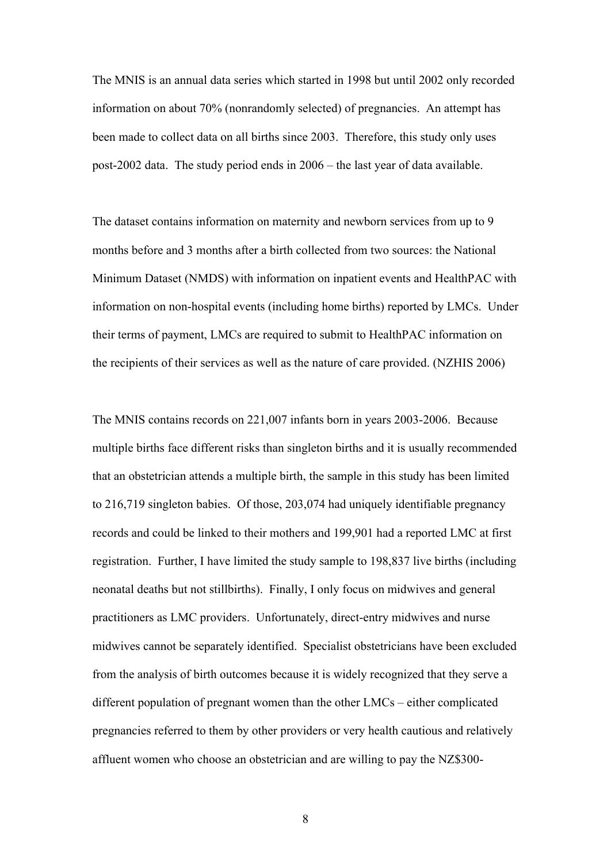The MNIS is an annual data series which started in 1998 but until 2002 only recorded information on about 70% (nonrandomly selected) of pregnancies. An attempt has been made to collect data on all births since 2003. Therefore, this study only uses post-2002 data. The study period ends in 2006 – the last year of data available.

The dataset contains information on maternity and newborn services from up to 9 months before and 3 months after a birth collected from two sources: the National Minimum Dataset (NMDS) with information on inpatient events and HealthPAC with information on non-hospital events (including home births) reported by LMCs. Under their terms of payment, LMCs are required to submit to HealthPAC information on the recipients of their services as well as the nature of care provided. (NZHIS 2006)

The MNIS contains records on 221,007 infants born in years 2003-2006. Because multiple births face different risks than singleton births and it is usually recommended that an obstetrician attends a multiple birth, the sample in this study has been limited to 216,719 singleton babies. Of those, 203,074 had uniquely identifiable pregnancy records and could be linked to their mothers and 199,901 had a reported LMC at first registration. Further, I have limited the study sample to 198,837 live births (including neonatal deaths but not stillbirths). Finally, I only focus on midwives and general practitioners as LMC providers. Unfortunately, direct-entry midwives and nurse midwives cannot be separately identified. Specialist obstetricians have been excluded from the analysis of birth outcomes because it is widely recognized that they serve a different population of pregnant women than the other LMCs – either complicated pregnancies referred to them by other providers or very health cautious and relatively affluent women who choose an obstetrician and are willing to pay the NZ\$300-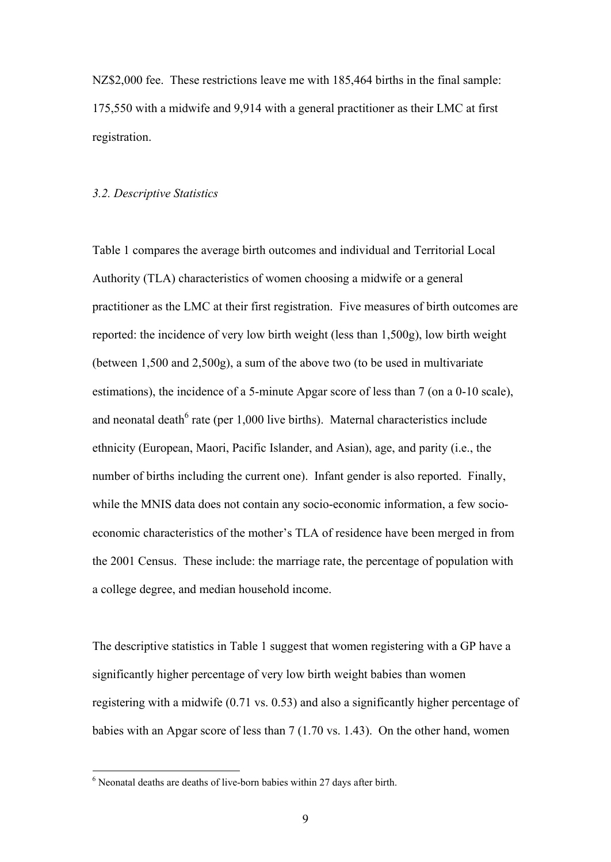NZ\$2,000 fee. These restrictions leave me with 185,464 births in the final sample: 175,550 with a midwife and 9,914 with a general practitioner as their LMC at first registration.

#### *3.2. Descriptive Statistics*

Table 1 compares the average birth outcomes and individual and Territorial Local Authority (TLA) characteristics of women choosing a midwife or a general practitioner as the LMC at their first registration. Five measures of birth outcomes are reported: the incidence of very low birth weight (less than 1,500g), low birth weight (between 1,500 and 2,500g), a sum of the above two (to be used in multivariate estimations), the incidence of a 5-minute Apgar score of less than 7 (on a 0-10 scale), and neonatal death $6$  rate (per 1,000 live births). Maternal characteristics include ethnicity (European, Maori, Pacific Islander, and Asian), age, and parity (i.e., the number of births including the current one). Infant gender is also reported. Finally, while the MNIS data does not contain any socio-economic information, a few socioeconomic characteristics of the mother's TLA of residence have been merged in from the 2001 Census. These include: the marriage rate, the percentage of population with a college degree, and median household income.

The descriptive statistics in Table 1 suggest that women registering with a GP have a significantly higher percentage of very low birth weight babies than women registering with a midwife (0.71 vs. 0.53) and also a significantly higher percentage of babies with an Apgar score of less than 7 (1.70 vs. 1.43). On the other hand, women

<sup>6</sup> Neonatal deaths are deaths of live-born babies within 27 days after birth.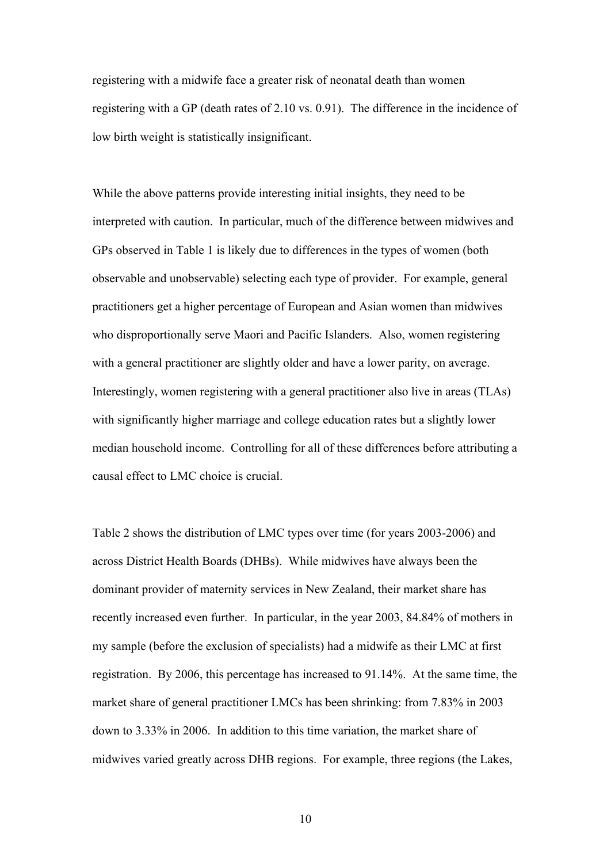registering with a midwife face a greater risk of neonatal death than women registering with a GP (death rates of 2.10 vs. 0.91). The difference in the incidence of low birth weight is statistically insignificant.

While the above patterns provide interesting initial insights, they need to be interpreted with caution. In particular, much of the difference between midwives and GPs observed in Table 1 is likely due to differences in the types of women (both observable and unobservable) selecting each type of provider. For example, general practitioners get a higher percentage of European and Asian women than midwives who disproportionally serve Maori and Pacific Islanders. Also, women registering with a general practitioner are slightly older and have a lower parity, on average. Interestingly, women registering with a general practitioner also live in areas (TLAs) with significantly higher marriage and college education rates but a slightly lower median household income. Controlling for all of these differences before attributing a causal effect to LMC choice is crucial.

Table 2 shows the distribution of LMC types over time (for years 2003-2006) and across District Health Boards (DHBs). While midwives have always been the dominant provider of maternity services in New Zealand, their market share has recently increased even further. In particular, in the year 2003, 84.84% of mothers in my sample (before the exclusion of specialists) had a midwife as their LMC at first registration. By 2006, this percentage has increased to 91.14%. At the same time, the market share of general practitioner LMCs has been shrinking: from 7.83% in 2003 down to 3.33% in 2006. In addition to this time variation, the market share of midwives varied greatly across DHB regions. For example, three regions (the Lakes,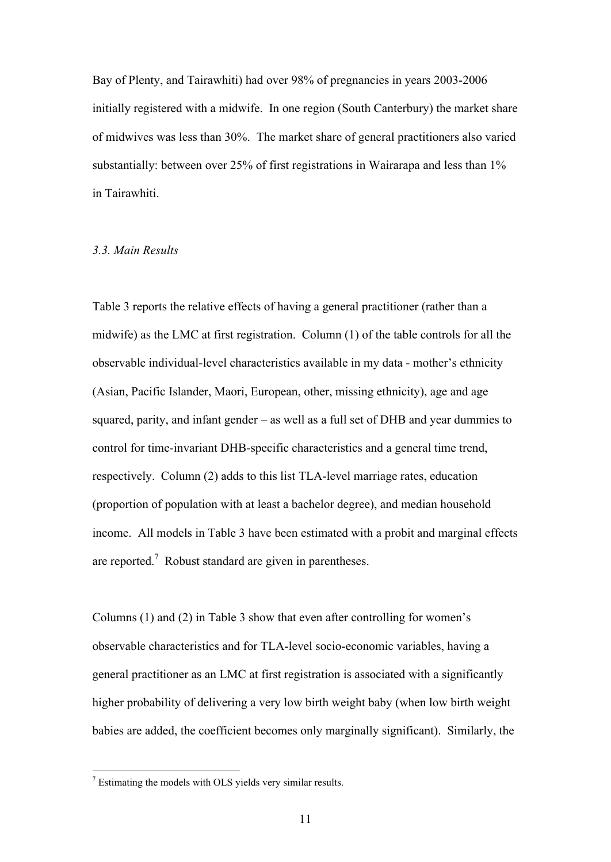Bay of Plenty, and Tairawhiti) had over 98% of pregnancies in years 2003-2006 initially registered with a midwife. In one region (South Canterbury) the market share of midwives was less than 30%. The market share of general practitioners also varied substantially: between over 25% of first registrations in Wairarapa and less than 1% in Tairawhiti.

#### *3.3. Main Results*

Table 3 reports the relative effects of having a general practitioner (rather than a midwife) as the LMC at first registration. Column (1) of the table controls for all the observable individual-level characteristics available in my data - mother's ethnicity (Asian, Pacific Islander, Maori, European, other, missing ethnicity), age and age squared, parity, and infant gender – as well as a full set of DHB and year dummies to control for time-invariant DHB-specific characteristics and a general time trend, respectively. Column (2) adds to this list TLA-level marriage rates, education (proportion of population with at least a bachelor degree), and median household income. All models in Table 3 have been estimated with a probit and marginal effects are reported.<sup>7</sup> Robust standard are given in parentheses.

Columns (1) and (2) in Table 3 show that even after controlling for women's observable characteristics and for TLA-level socio-economic variables, having a general practitioner as an LMC at first registration is associated with a significantly higher probability of delivering a very low birth weight baby (when low birth weight babies are added, the coefficient becomes only marginally significant). Similarly, the

 $<sup>7</sup>$  Estimating the models with OLS yields very similar results.</sup>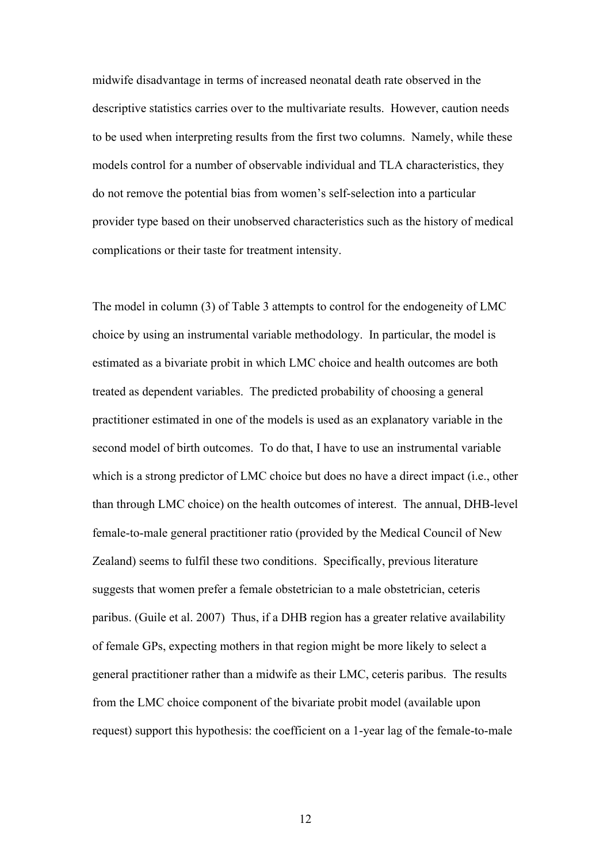midwife disadvantage in terms of increased neonatal death rate observed in the descriptive statistics carries over to the multivariate results. However, caution needs to be used when interpreting results from the first two columns. Namely, while these models control for a number of observable individual and TLA characteristics, they do not remove the potential bias from women's self-selection into a particular provider type based on their unobserved characteristics such as the history of medical complications or their taste for treatment intensity.

The model in column (3) of Table 3 attempts to control for the endogeneity of LMC choice by using an instrumental variable methodology. In particular, the model is estimated as a bivariate probit in which LMC choice and health outcomes are both treated as dependent variables. The predicted probability of choosing a general practitioner estimated in one of the models is used as an explanatory variable in the second model of birth outcomes. To do that, I have to use an instrumental variable which is a strong predictor of LMC choice but does no have a direct impact (i.e., other than through LMC choice) on the health outcomes of interest. The annual, DHB-level female-to-male general practitioner ratio (provided by the Medical Council of New Zealand) seems to fulfil these two conditions. Specifically, previous literature suggests that women prefer a female obstetrician to a male obstetrician, ceteris paribus. (Guile et al. 2007) Thus, if a DHB region has a greater relative availability of female GPs, expecting mothers in that region might be more likely to select a general practitioner rather than a midwife as their LMC, ceteris paribus. The results from the LMC choice component of the bivariate probit model (available upon request) support this hypothesis: the coefficient on a 1-year lag of the female-to-male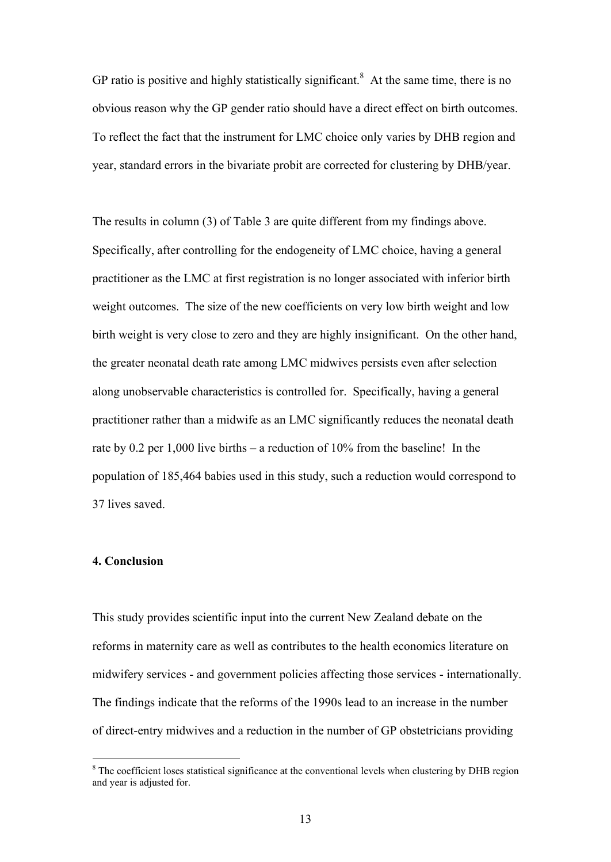GP ratio is positive and highly statistically significant.<sup>8</sup> At the same time, there is no obvious reason why the GP gender ratio should have a direct effect on birth outcomes. To reflect the fact that the instrument for LMC choice only varies by DHB region and year, standard errors in the bivariate probit are corrected for clustering by DHB/year.

The results in column (3) of Table 3 are quite different from my findings above. Specifically, after controlling for the endogeneity of LMC choice, having a general practitioner as the LMC at first registration is no longer associated with inferior birth weight outcomes. The size of the new coefficients on very low birth weight and low birth weight is very close to zero and they are highly insignificant. On the other hand, the greater neonatal death rate among LMC midwives persists even after selection along unobservable characteristics is controlled for. Specifically, having a general practitioner rather than a midwife as an LMC significantly reduces the neonatal death rate by 0.2 per 1,000 live births – a reduction of 10% from the baseline! In the population of 185,464 babies used in this study, such a reduction would correspond to 37 lives saved.

## **4. Conclusion**

 $\overline{a}$ 

This study provides scientific input into the current New Zealand debate on the reforms in maternity care as well as contributes to the health economics literature on midwifery services - and government policies affecting those services - internationally. The findings indicate that the reforms of the 1990s lead to an increase in the number of direct-entry midwives and a reduction in the number of GP obstetricians providing

<sup>&</sup>lt;sup>8</sup> The coefficient loses statistical significance at the conventional levels when clustering by DHB region and year is adjusted for.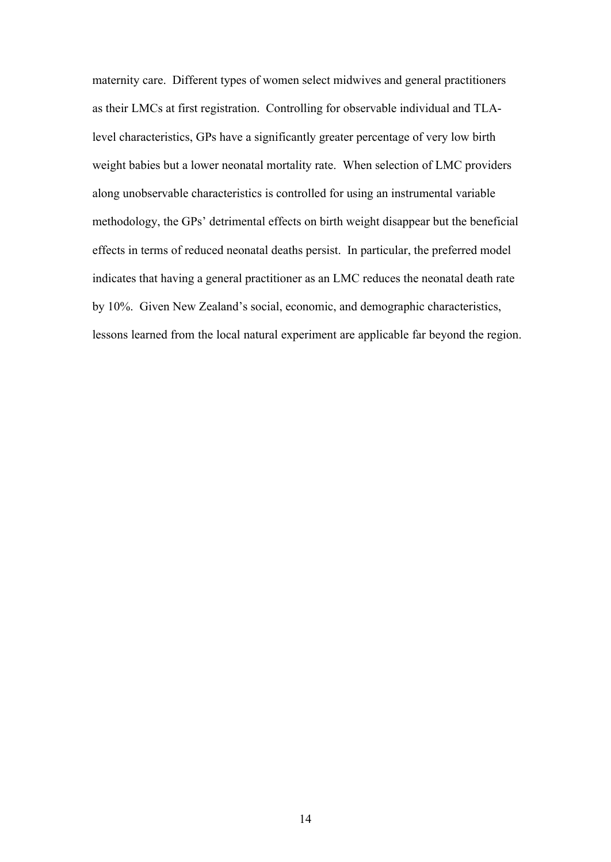maternity care. Different types of women select midwives and general practitioners as their LMCs at first registration. Controlling for observable individual and TLAlevel characteristics, GPs have a significantly greater percentage of very low birth weight babies but a lower neonatal mortality rate. When selection of LMC providers along unobservable characteristics is controlled for using an instrumental variable methodology, the GPs' detrimental effects on birth weight disappear but the beneficial effects in terms of reduced neonatal deaths persist. In particular, the preferred model indicates that having a general practitioner as an LMC reduces the neonatal death rate by 10%. Given New Zealand's social, economic, and demographic characteristics, lessons learned from the local natural experiment are applicable far beyond the region.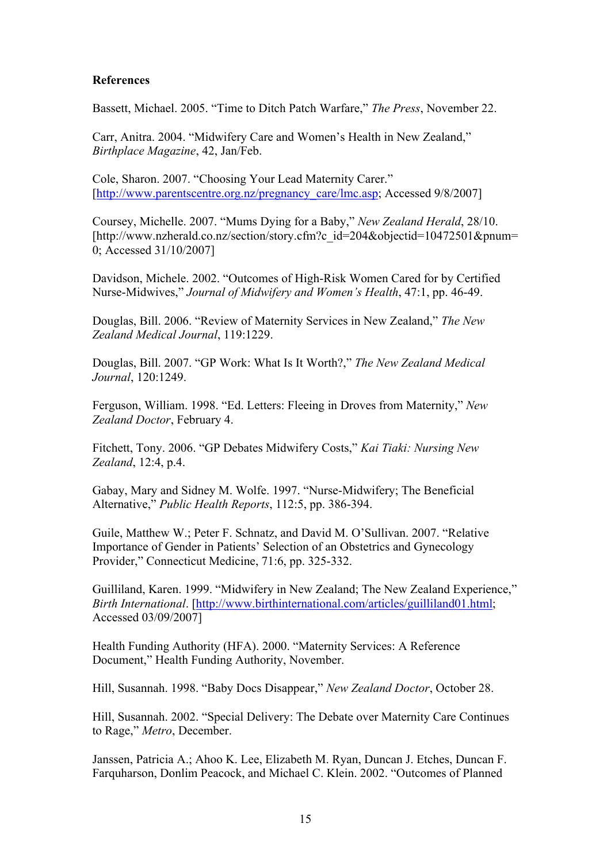#### **References**

Bassett, Michael. 2005. "Time to Ditch Patch Warfare," *The Press*, November 22.

Carr, Anitra. 2004. "Midwifery Care and Women's Health in New Zealand," *Birthplace Magazine*, 42, Jan/Feb.

Cole, Sharon. 2007. "Choosing Your Lead Maternity Carer." [http://www.parentscentre.org.nz/pregnancy\_care/lmc.asp; Accessed 9/8/2007]

Coursey, Michelle. 2007. "Mums Dying for a Baby," *New Zealand Herald*, 28/10. [http://www.nzherald.co.nz/section/story.cfm?c\_id=204&objectid=10472501&pnum= 0; Accessed 31/10/2007]

Davidson, Michele. 2002. "Outcomes of High-Risk Women Cared for by Certified Nurse-Midwives," *Journal of Midwifery and Women's Health*, 47:1, pp. 46-49.

Douglas, Bill. 2006. "Review of Maternity Services in New Zealand," *The New Zealand Medical Journal*, 119:1229.

Douglas, Bill. 2007. "GP Work: What Is It Worth?," *The New Zealand Medical Journal*, 120:1249.

Ferguson, William. 1998. "Ed. Letters: Fleeing in Droves from Maternity," *New Zealand Doctor*, February 4.

Fitchett, Tony. 2006. "GP Debates Midwifery Costs," *Kai Tiaki: Nursing New Zealand*, 12:4, p.4.

Gabay, Mary and Sidney M. Wolfe. 1997. "Nurse-Midwifery; The Beneficial Alternative," *Public Health Reports*, 112:5, pp. 386-394.

Guile, Matthew W.; Peter F. Schnatz, and David M. O'Sullivan. 2007. "Relative Importance of Gender in Patients' Selection of an Obstetrics and Gynecology Provider," Connecticut Medicine, 71:6, pp. 325-332.

Guilliland, Karen. 1999. "Midwifery in New Zealand; The New Zealand Experience," *Birth International*. [http://www.birthinternational.com/articles/guilliland01.html; Accessed 03/09/2007]

Health Funding Authority (HFA). 2000. "Maternity Services: A Reference Document," Health Funding Authority, November.

Hill, Susannah. 1998. "Baby Docs Disappear," *New Zealand Doctor*, October 28.

Hill, Susannah. 2002. "Special Delivery: The Debate over Maternity Care Continues to Rage," *Metro*, December.

Janssen, Patricia A.; Ahoo K. Lee, Elizabeth M. Ryan, Duncan J. Etches, Duncan F. Farquharson, Donlim Peacock, and Michael C. Klein. 2002. "Outcomes of Planned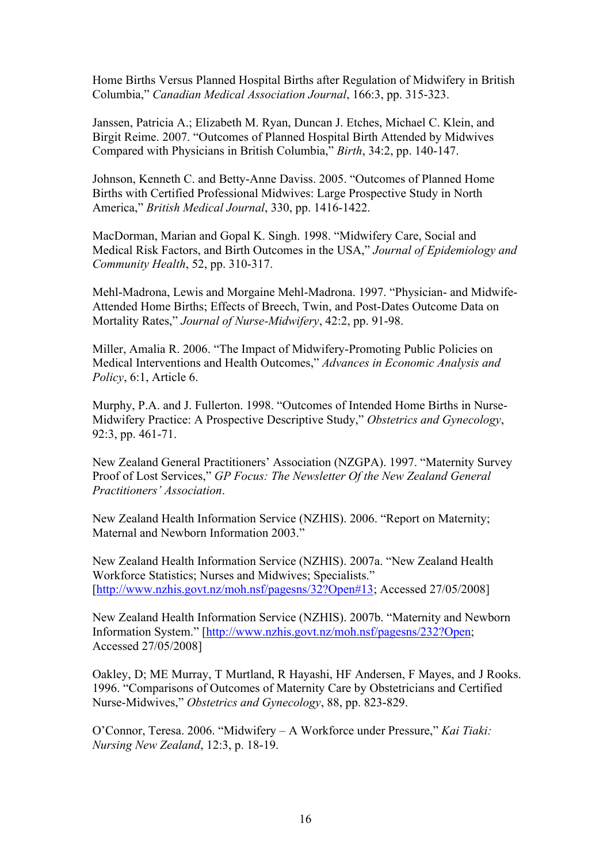Home Births Versus Planned Hospital Births after Regulation of Midwifery in British Columbia," *Canadian Medical Association Journal*, 166:3, pp. 315-323.

Janssen, Patricia A.; Elizabeth M. Ryan, Duncan J. Etches, Michael C. Klein, and Birgit Reime. 2007. "Outcomes of Planned Hospital Birth Attended by Midwives Compared with Physicians in British Columbia," *Birth*, 34:2, pp. 140-147.

Johnson, Kenneth C. and Betty-Anne Daviss. 2005. "Outcomes of Planned Home Births with Certified Professional Midwives: Large Prospective Study in North America," *British Medical Journal*, 330, pp. 1416-1422.

MacDorman, Marian and Gopal K. Singh. 1998. "Midwifery Care, Social and Medical Risk Factors, and Birth Outcomes in the USA," *Journal of Epidemiology and Community Health*, 52, pp. 310-317.

Mehl-Madrona, Lewis and Morgaine Mehl-Madrona. 1997. "Physician- and Midwife-Attended Home Births; Effects of Breech, Twin, and Post-Dates Outcome Data on Mortality Rates," *Journal of Nurse-Midwifery*, 42:2, pp. 91-98.

Miller, Amalia R. 2006. "The Impact of Midwifery-Promoting Public Policies on Medical Interventions and Health Outcomes," *Advances in Economic Analysis and Policy*, 6:1, Article 6.

Murphy, P.A. and J. Fullerton. 1998. "Outcomes of Intended Home Births in Nurse-Midwifery Practice: A Prospective Descriptive Study," *Obstetrics and Gynecology*, 92:3, pp. 461-71.

New Zealand General Practitioners' Association (NZGPA). 1997. "Maternity Survey Proof of Lost Services," *GP Focus: The Newsletter Of the New Zealand General Practitioners' Association*.

New Zealand Health Information Service (NZHIS). 2006. "Report on Maternity; Maternal and Newborn Information 2003."

New Zealand Health Information Service (NZHIS). 2007a. "New Zealand Health Workforce Statistics; Nurses and Midwives; Specialists." [http://www.nzhis.govt.nz/moh.nsf/pagesns/32?Open#13; Accessed 27/05/2008]

New Zealand Health Information Service (NZHIS). 2007b. "Maternity and Newborn Information System." [http://www.nzhis.govt.nz/moh.nsf/pagesns/232?Open; Accessed 27/05/2008]

Oakley, D; ME Murray, T Murtland, R Hayashi, HF Andersen, F Mayes, and J Rooks. 1996. "Comparisons of Outcomes of Maternity Care by Obstetricians and Certified Nurse-Midwives," *Obstetrics and Gynecology*, 88, pp. 823-829.

O'Connor, Teresa. 2006. "Midwifery – A Workforce under Pressure," *Kai Tiaki: Nursing New Zealand*, 12:3, p. 18-19.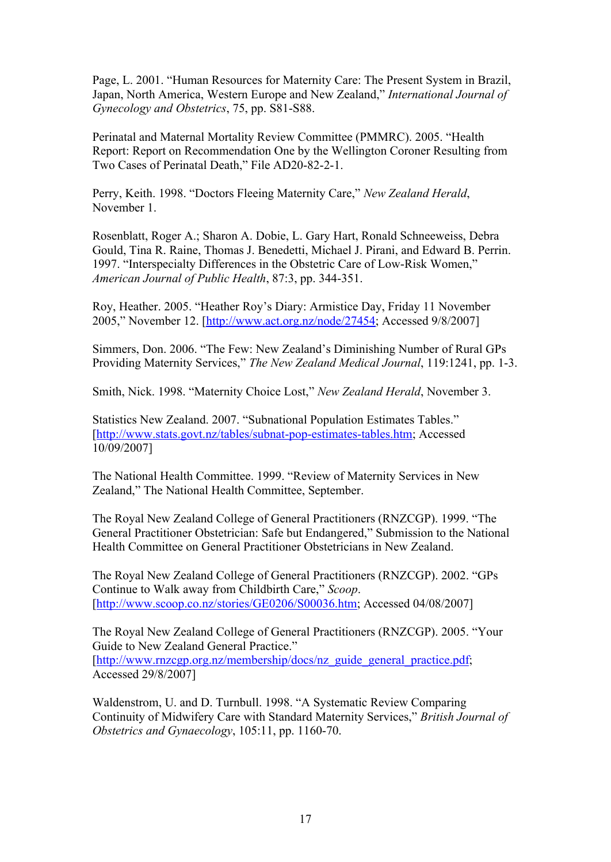Page, L. 2001. "Human Resources for Maternity Care: The Present System in Brazil, Japan, North America, Western Europe and New Zealand," *International Journal of Gynecology and Obstetrics*, 75, pp. S81-S88.

Perinatal and Maternal Mortality Review Committee (PMMRC). 2005. "Health Report: Report on Recommendation One by the Wellington Coroner Resulting from Two Cases of Perinatal Death," File AD20-82-2-1.

Perry, Keith. 1998. "Doctors Fleeing Maternity Care," *New Zealand Herald*, November 1.

Rosenblatt, Roger A.; Sharon A. Dobie, L. Gary Hart, Ronald Schneeweiss, Debra Gould, Tina R. Raine, Thomas J. Benedetti, Michael J. Pirani, and Edward B. Perrin. 1997. "Interspecialty Differences in the Obstetric Care of Low-Risk Women," *American Journal of Public Health*, 87:3, pp. 344-351.

Roy, Heather. 2005. "Heather Roy's Diary: Armistice Day, Friday 11 November 2005," November 12. [http://www.act.org.nz/node/27454; Accessed 9/8/2007]

Simmers, Don. 2006. "The Few: New Zealand's Diminishing Number of Rural GPs Providing Maternity Services," *The New Zealand Medical Journal*, 119:1241, pp. 1-3.

Smith, Nick. 1998. "Maternity Choice Lost," *New Zealand Herald*, November 3.

Statistics New Zealand. 2007. "Subnational Population Estimates Tables." [http://www.stats.govt.nz/tables/subnat-pop-estimates-tables.htm; Accessed 10/09/2007]

The National Health Committee. 1999. "Review of Maternity Services in New Zealand," The National Health Committee, September.

The Royal New Zealand College of General Practitioners (RNZCGP). 1999. "The General Practitioner Obstetrician: Safe but Endangered," Submission to the National Health Committee on General Practitioner Obstetricians in New Zealand.

The Royal New Zealand College of General Practitioners (RNZCGP). 2002. "GPs Continue to Walk away from Childbirth Care," *Scoop*. [http://www.scoop.co.nz/stories/GE0206/S00036.htm; Accessed 04/08/2007]

The Royal New Zealand College of General Practitioners (RNZCGP). 2005. "Your Guide to New Zealand General Practice." [http://www.rnzcgp.org.nz/membership/docs/nz\_guide\_general\_practice.pdf; Accessed 29/8/2007]

Waldenstrom, U. and D. Turnbull. 1998. "A Systematic Review Comparing Continuity of Midwifery Care with Standard Maternity Services," *British Journal of Obstetrics and Gynaecology*, 105:11, pp. 1160-70.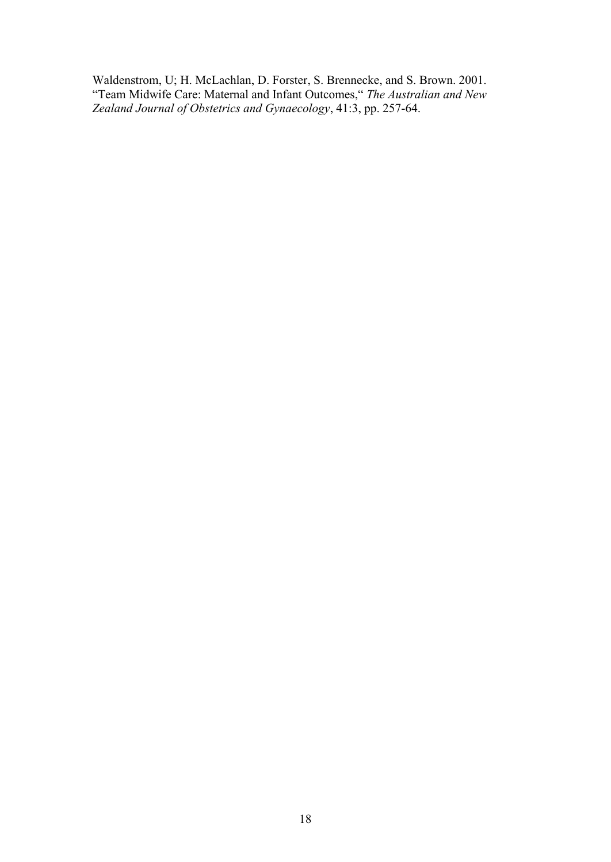Waldenstrom, U; H. McLachlan, D. Forster, S. Brennecke, and S. Brown. 2001. "Team Midwife Care: Maternal and Infant Outcomes," *The Australian and New Zealand Journal of Obstetrics and Gynaecology*, 41:3, pp. 257-64.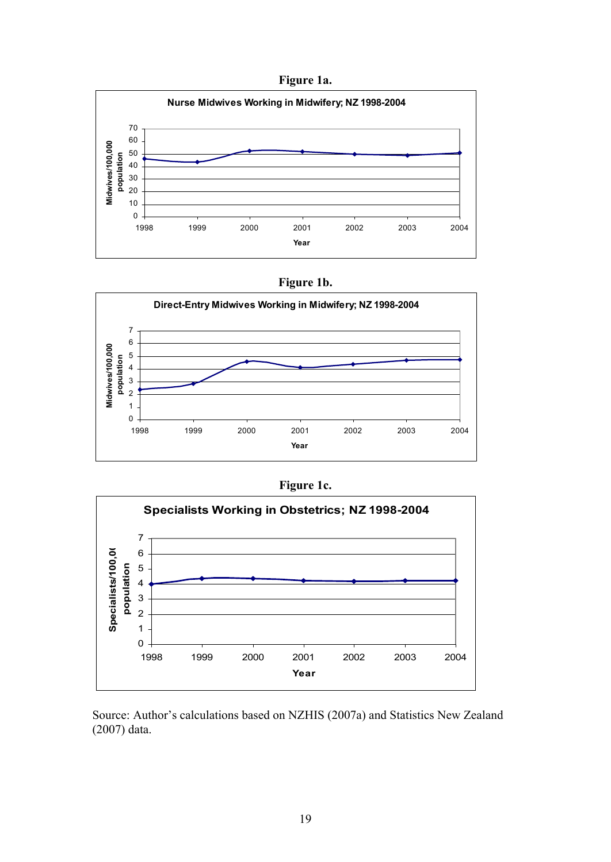**Figure 1a.**











Source: Author's calculations based on NZHIS (2007a) and Statistics New Zealand (2007) data.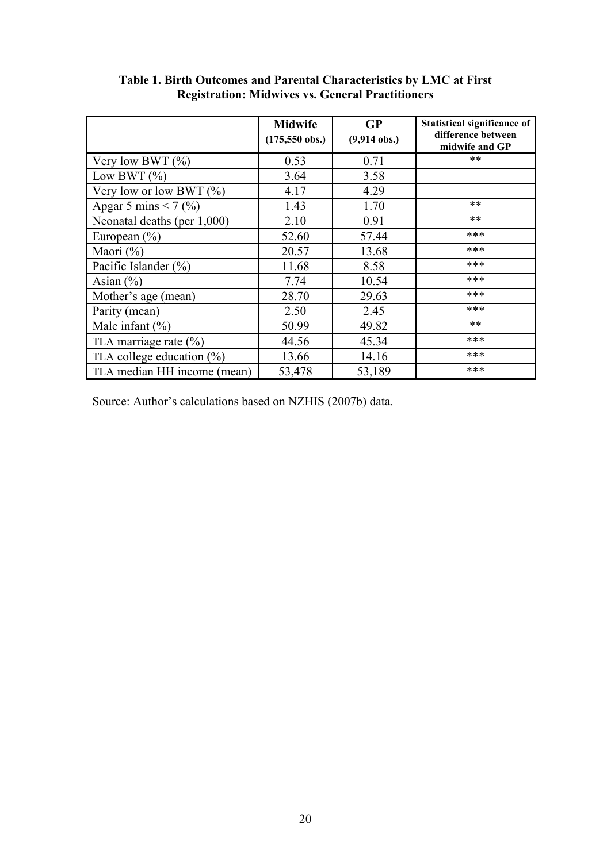|                               | <b>Midwife</b><br>$(175,550$ obs.) | <b>GP</b><br>$(9,914$ obs.) | <b>Statistical significance of</b><br>difference between<br>midwife and GP |
|-------------------------------|------------------------------------|-----------------------------|----------------------------------------------------------------------------|
| Very low BWT $(\% )$          | 0.53                               | 0.71                        | $**$                                                                       |
| Low BWT $(\% )$               | 3.64                               | 3.58                        |                                                                            |
| Very low or low BWT $(\% )$   | 4.17                               | 4.29                        |                                                                            |
| Apgar 5 mins < 7 $(\% )$      | 1.43                               | 1.70                        | $***$                                                                      |
| Neonatal deaths (per 1,000)   | 2.10                               | 0.91                        | $***$                                                                      |
| European $(\% )$              | 52.60                              | 57.44                       | ***                                                                        |
| Maori $(\% )$                 | 20.57                              | 13.68                       | ***                                                                        |
| Pacific Islander $(\% )$      | 11.68                              | 8.58                        | ***                                                                        |
| Asian $(\% )$                 | 7.74                               | 10.54                       | ***                                                                        |
| Mother's age (mean)           | 28.70                              | 29.63                       | ***                                                                        |
| Parity (mean)                 | 2.50                               | 2.45                        | ***                                                                        |
| Male infant $(\% )$           | 50.99                              | 49.82                       | $***$                                                                      |
| TLA marriage rate $(\% )$     | 44.56                              | 45.34                       | ***                                                                        |
| TLA college education $(\% )$ | 13.66                              | 14.16                       | ***                                                                        |
| TLA median HH income (mean)   | 53,478                             | 53,189                      | ***                                                                        |

**Table 1. Birth Outcomes and Parental Characteristics by LMC at First Registration: Midwives vs. General Practitioners**

Source: Author's calculations based on NZHIS (2007b) data.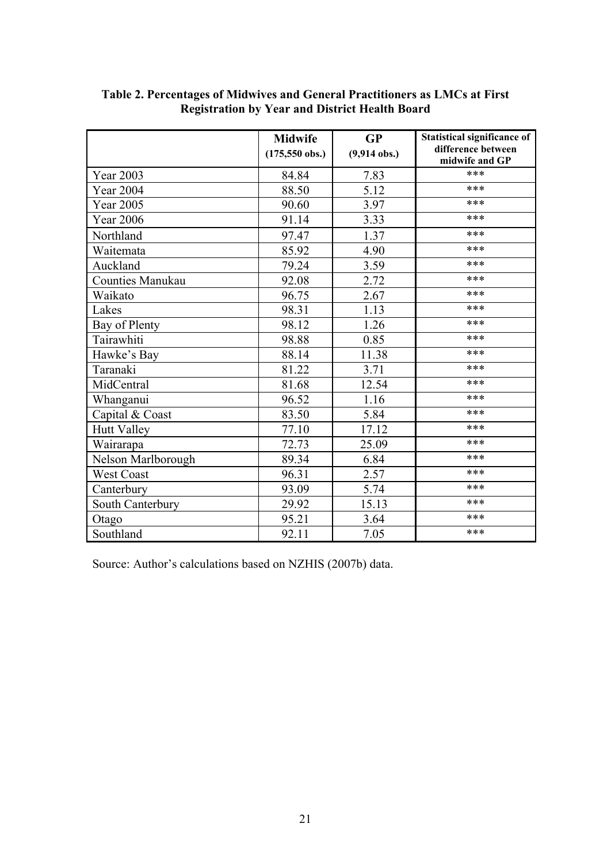|                    | <b>Midwife</b><br><b>GP</b> |                | <b>Statistical significance of</b>   |
|--------------------|-----------------------------|----------------|--------------------------------------|
|                    | $(175,550$ obs.)            | $(9,914$ obs.) | difference between<br>midwife and GP |
| Year 2003          | 84.84                       | 7.83           | ***                                  |
| <b>Year 2004</b>   | 88.50                       | 5.12           | ***                                  |
| Year 2005          | 90.60                       | 3.97           | ***                                  |
| <b>Year 2006</b>   | 91.14                       | 3.33           | ***                                  |
| Northland          | 97.47                       | 1.37           | ***                                  |
| Waitemata          | 85.92                       | 4.90           | ***                                  |
| Auckland           | 79.24                       | 3.59           | ***                                  |
| Counties Manukau   | 92.08                       | 2.72           | ***                                  |
| Waikato            | 96.75                       | 2.67           | ***                                  |
| Lakes              | 98.31                       | 1.13           | ***                                  |
| Bay of Plenty      | 98.12                       | 1.26           | ***                                  |
| Tairawhiti         | 98.88                       | 0.85           | ***                                  |
| Hawke's Bay        | 88.14                       | 11.38          | ***                                  |
| Taranaki           | 81.22                       | 3.71           | ***                                  |
| MidCentral         | 81.68                       | 12.54          | ***                                  |
| Whanganui          | 96.52                       | 1.16           | ***                                  |
| Capital & Coast    | 83.50                       | 5.84           | ***                                  |
| <b>Hutt Valley</b> | 77.10                       | 17.12          | ***                                  |
| Wairarapa          | 72.73                       | 25.09          | ***                                  |
| Nelson Marlborough | 89.34                       | 6.84           | ***                                  |
| West Coast         | 96.31                       | 2.57           | ***                                  |
| Canterbury         | 93.09                       | 5.74           | ***                                  |
| South Canterbury   | 29.92                       | 15.13          | ***                                  |
| Otago              | 95.21                       | 3.64           | ***                                  |
| Southland          | 92.11                       | 7.05           | ***                                  |

## **Table 2. Percentages of Midwives and General Practitioners as LMCs at First Registration by Year and District Health Board**

Source: Author's calculations based on NZHIS (2007b) data.